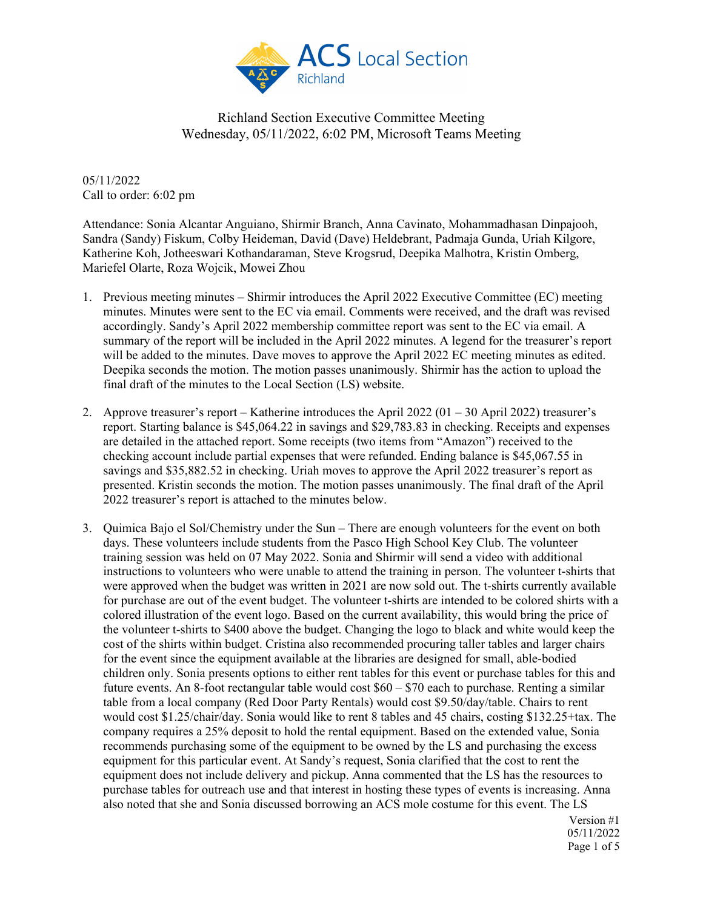

05/11/2022 Call to order: 6:02 pm

Attendance: Sonia Alcantar Anguiano, Shirmir Branch, Anna Cavinato, Mohammadhasan Dinpajooh, Sandra (Sandy) Fiskum, Colby Heideman, David (Dave) Heldebrant, Padmaja Gunda, Uriah Kilgore, Katherine Koh, Jotheeswari Kothandaraman, Steve Krogsrud, Deepika Malhotra, Kristin Omberg, Mariefel Olarte, Roza Wojcik, Mowei Zhou

- 1. Previous meeting minutes Shirmir introduces the April 2022 Executive Committee (EC) meeting minutes. Minutes were sent to the EC via email. Comments were received, and the draft was revised accordingly. Sandy's April 2022 membership committee report was sent to the EC via email. A summary of the report will be included in the April 2022 minutes. A legend for the treasurer's report will be added to the minutes. Dave moves to approve the April 2022 EC meeting minutes as edited. Deepika seconds the motion. The motion passes unanimously. Shirmir has the action to upload the final draft of the minutes to the Local Section (LS) website.
- 2. Approve treasurer's report Katherine introduces the April 2022 (01 30 April 2022) treasurer's report. Starting balance is \$45,064.22 in savings and \$29,783.83 in checking. Receipts and expenses are detailed in the attached report. Some receipts (two items from "Amazon") received to the checking account include partial expenses that were refunded. Ending balance is \$45,067.55 in savings and \$35,882.52 in checking. Uriah moves to approve the April 2022 treasurer's report as presented. Kristin seconds the motion. The motion passes unanimously. The final draft of the April 2022 treasurer's report is attached to the minutes below.
- 3. Quimica Bajo el Sol/Chemistry under the Sun There are enough volunteers for the event on both days. These volunteers include students from the Pasco High School Key Club. The volunteer training session was held on 07 May 2022. Sonia and Shirmir will send a video with additional instructions to volunteers who were unable to attend the training in person. The volunteer t-shirts that were approved when the budget was written in 2021 are now sold out. The t-shirts currently available for purchase are out of the event budget. The volunteer t-shirts are intended to be colored shirts with a colored illustration of the event logo. Based on the current availability, this would bring the price of the volunteer t-shirts to \$400 above the budget. Changing the logo to black and white would keep the cost of the shirts within budget. Cristina also recommended procuring taller tables and larger chairs for the event since the equipment available at the libraries are designed for small, able-bodied children only. Sonia presents options to either rent tables for this event or purchase tables for this and future events. An 8-foot rectangular table would cost  $$60 - $70$  each to purchase. Renting a similar table from a local company (Red Door Party Rentals) would cost \$9.50/day/table. Chairs to rent would cost \$1.25/chair/day. Sonia would like to rent 8 tables and 45 chairs, costing \$132.25+tax. The company requires a 25% deposit to hold the rental equipment. Based on the extended value, Sonia recommends purchasing some of the equipment to be owned by the LS and purchasing the excess equipment for this particular event. At Sandy's request, Sonia clarified that the cost to rent the equipment does not include delivery and pickup. Anna commented that the LS has the resources to purchase tables for outreach use and that interest in hosting these types of events is increasing. Anna also noted that she and Sonia discussed borrowing an ACS mole costume for this event. The LS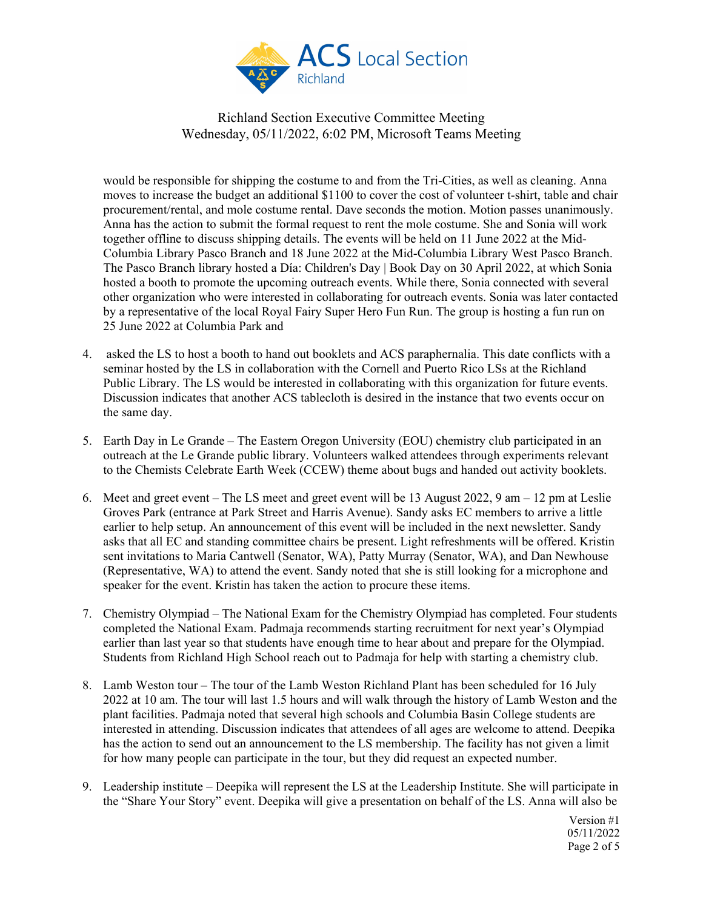

would be responsible for shipping the costume to and from the Tri-Cities, as well as cleaning. Anna moves to increase the budget an additional \$1100 to cover the cost of volunteer t-shirt, table and chair procurement/rental, and mole costume rental. Dave seconds the motion. Motion passes unanimously. Anna has the action to submit the formal request to rent the mole costume. She and Sonia will work together offline to discuss shipping details. The events will be held on 11 June 2022 at the Mid-Columbia Library Pasco Branch and 18 June 2022 at the Mid-Columbia Library West Pasco Branch. The Pasco Branch library hosted a Día: Children's Day | Book Day on 30 April 2022, at which Sonia hosted a booth to promote the upcoming outreach events. While there, Sonia connected with several other organization who were interested in collaborating for outreach events. Sonia was later contacted by a representative of the local Royal Fairy Super Hero Fun Run. The group is hosting a fun run on 25 June 2022 at Columbia Park and

- 4. asked the LS to host a booth to hand out booklets and ACS paraphernalia. This date conflicts with a seminar hosted by the LS in collaboration with the Cornell and Puerto Rico LSs at the Richland Public Library. The LS would be interested in collaborating with this organization for future events. Discussion indicates that another ACS tablecloth is desired in the instance that two events occur on the same day.
- 5. Earth Day in Le Grande The Eastern Oregon University (EOU) chemistry club participated in an outreach at the Le Grande public library. Volunteers walked attendees through experiments relevant to the Chemists Celebrate Earth Week (CCEW) theme about bugs and handed out activity booklets.
- 6. Meet and greet event The LS meet and greet event will be 13 August 2022, 9 am 12 pm at Leslie Groves Park (entrance at Park Street and Harris Avenue). Sandy asks EC members to arrive a little earlier to help setup. An announcement of this event will be included in the next newsletter. Sandy asks that all EC and standing committee chairs be present. Light refreshments will be offered. Kristin sent invitations to Maria Cantwell (Senator, WA), Patty Murray (Senator, WA), and Dan Newhouse (Representative, WA) to attend the event. Sandy noted that she is still looking for a microphone and speaker for the event. Kristin has taken the action to procure these items.
- 7. Chemistry Olympiad The National Exam for the Chemistry Olympiad has completed. Four students completed the National Exam. Padmaja recommends starting recruitment for next year's Olympiad earlier than last year so that students have enough time to hear about and prepare for the Olympiad. Students from Richland High School reach out to Padmaja for help with starting a chemistry club.
- 8. Lamb Weston tour The tour of the Lamb Weston Richland Plant has been scheduled for 16 July 2022 at 10 am. The tour will last 1.5 hours and will walk through the history of Lamb Weston and the plant facilities. Padmaja noted that several high schools and Columbia Basin College students are interested in attending. Discussion indicates that attendees of all ages are welcome to attend. Deepika has the action to send out an announcement to the LS membership. The facility has not given a limit for how many people can participate in the tour, but they did request an expected number.
- 9. Leadership institute Deepika will represent the LS at the Leadership Institute. She will participate in the "Share Your Story" event. Deepika will give a presentation on behalf of the LS. Anna will also be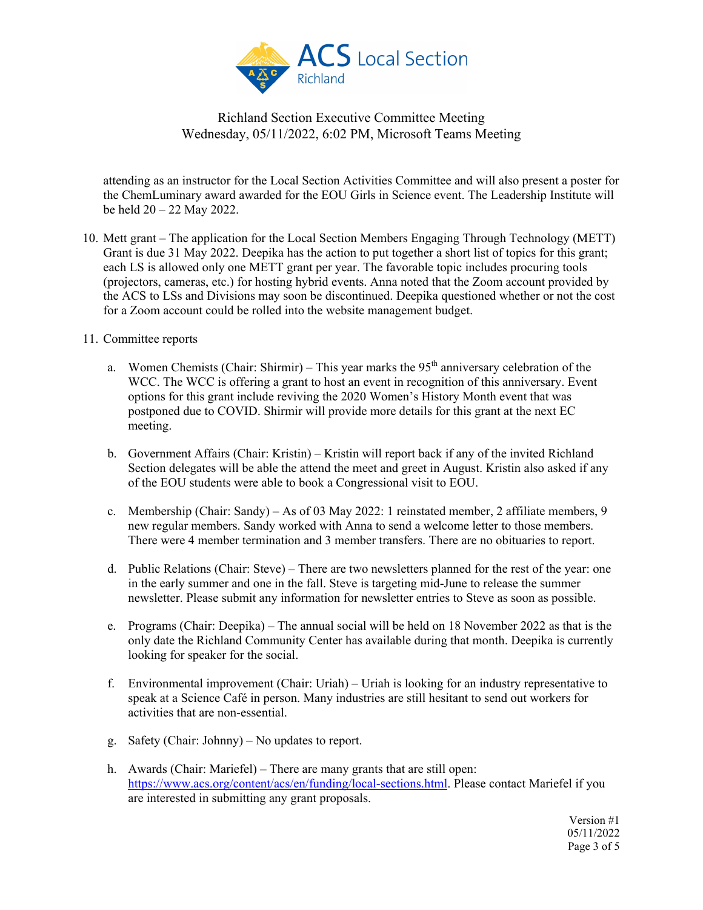

attending as an instructor for the Local Section Activities Committee and will also present a poster for the ChemLuminary award awarded for the EOU Girls in Science event. The Leadership Institute will be held 20 – 22 May 2022.

- 10. Mett grant The application for the Local Section Members Engaging Through Technology (METT) Grant is due 31 May 2022. Deepika has the action to put together a short list of topics for this grant; each LS is allowed only one METT grant per year. The favorable topic includes procuring tools (projectors, cameras, etc.) for hosting hybrid events. Anna noted that the Zoom account provided by the ACS to LSs and Divisions may soon be discontinued. Deepika questioned whether or not the cost for a Zoom account could be rolled into the website management budget.
- 11. Committee reports
	- a. Women Chemists (Chair: Shirmir) This year marks the  $95<sup>th</sup>$  anniversary celebration of the WCC. The WCC is offering a grant to host an event in recognition of this anniversary. Event options for this grant include reviving the 2020 Women's History Month event that was postponed due to COVID. Shirmir will provide more details for this grant at the next EC meeting.
	- b. Government Affairs (Chair: Kristin) Kristin will report back if any of the invited Richland Section delegates will be able the attend the meet and greet in August. Kristin also asked if any of the EOU students were able to book a Congressional visit to EOU.
	- c. Membership (Chair: Sandy) As of 03 May 2022: 1 reinstated member, 2 affiliate members, 9 new regular members. Sandy worked with Anna to send a welcome letter to those members. There were 4 member termination and 3 member transfers. There are no obituaries to report.
	- d. Public Relations (Chair: Steve) There are two newsletters planned for the rest of the year: one in the early summer and one in the fall. Steve is targeting mid-June to release the summer newsletter. Please submit any information for newsletter entries to Steve as soon as possible.
	- e. Programs (Chair: Deepika) The annual social will be held on 18 November 2022 as that is the only date the Richland Community Center has available during that month. Deepika is currently looking for speaker for the social.
	- f. Environmental improvement (Chair: Uriah) Uriah is looking for an industry representative to speak at a Science Café in person. Many industries are still hesitant to send out workers for activities that are non-essential.
	- g. Safety (Chair: Johnny) No updates to report.
	- h. Awards (Chair: Mariefel) There are many grants that are still open: [https://www.acs.org/content/acs/en/funding/local-sections.html.](https://www.acs.org/content/acs/en/funding/local-sections.html) Please contact Mariefel if you are interested in submitting any grant proposals.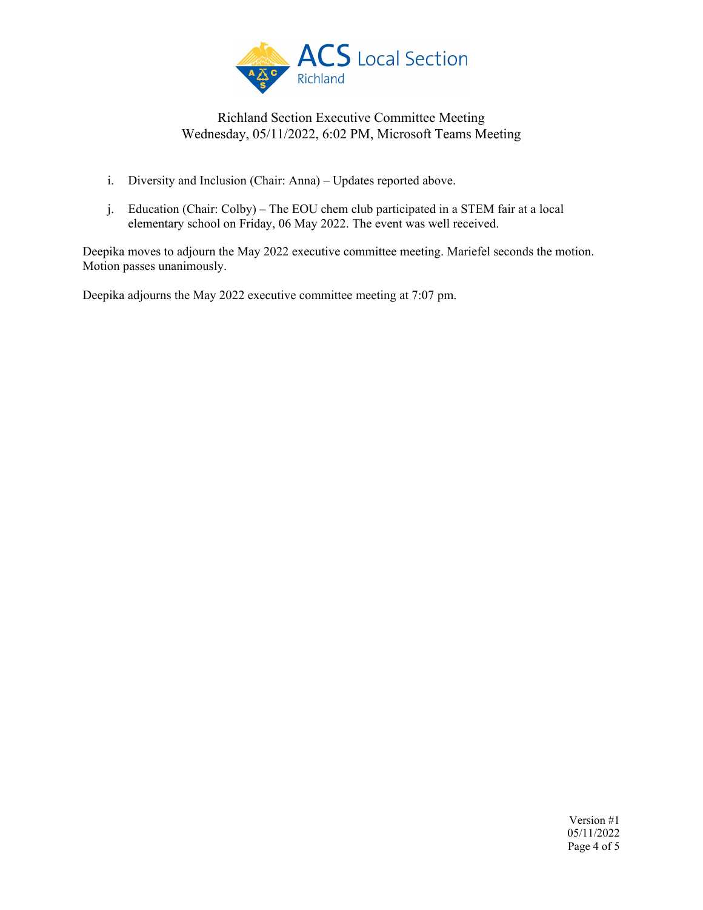

- i. Diversity and Inclusion (Chair: Anna) Updates reported above.
- j. Education (Chair: Colby) The EOU chem club participated in a STEM fair at a local elementary school on Friday, 06 May 2022. The event was well received.

Deepika moves to adjourn the May 2022 executive committee meeting. Mariefel seconds the motion. Motion passes unanimously.

Deepika adjourns the May 2022 executive committee meeting at 7:07 pm.